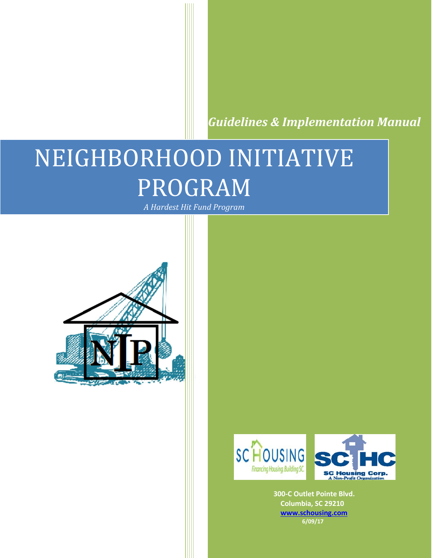*Guidelines & Implementation Manual*

# NEIGHBORHOOD INITIATIVE PROGRAM

*A Hardest Hit Fund Program*





 **300-C Outlet Pointe Blvd. Columbia, SC 29210 [www.schousing.com](http://www.schousing.com/) 6/09/17**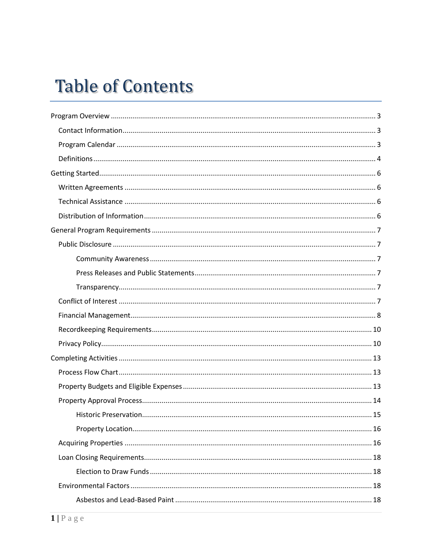# **Table of Contents**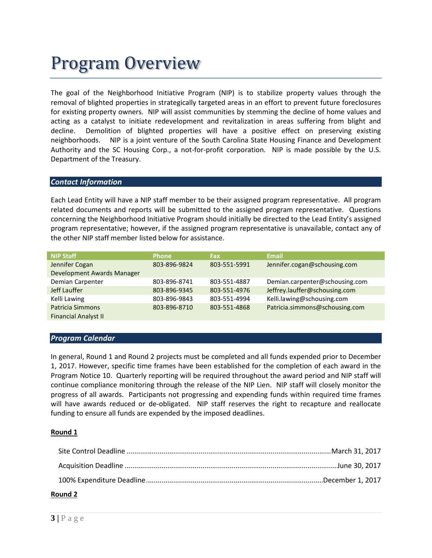# Program Overview

The goal of the Neighborhood Initiative Program (NIP) is to stabilize property values through the removal of blighted properties in strategically targeted areas in an effort to prevent future foreclosures for existing property owners. NIP will assist communities by stemming the decline of home values and acting as a catalyst to initiate redevelopment and revitalization in areas suffering from blight and decline. Demolition of blighted properties will have a positive effect on preserving existing neighborhoods. NIP is a joint venture of the South Carolina State Housing Finance and Development Authority and the SC Housing Corp., a not-for-profit corporation. NIP is made possible by the U.S. Department of the Treasury.

### *Contact Information*

Each Lead Entity will have a NIP staff member to be their assigned program representative. All program related documents and reports will be submitted to the assigned program representative. Questions concerning the Neighborhood Initiative Program should initially be directed to the Lead Entity's assigned program representative; however, if the assigned program representative is unavailable, contact any of the other NIP staff member listed below for assistance.

| Demian.carpenter@schousing.com |
|--------------------------------|
|                                |
|                                |
|                                |
|                                |
|                                |

### *Program Calendar*

In general, Round 1 and Round 2 projects must be completed and all funds expended prior to December 1, 2017. However, specific time frames have been established for the completion of each award in the Program Notice 10. Quarterly reporting will be required throughout the award period and NIP staff will continue compliance monitoring through the release of the NIP Lien. NIP staff will closely monitor the progress of all awards. Participants not progressing and expending funds within required time frames will have awards reduced or de-obligated. NIP staff reserves the right to recapture and reallocate funding to ensure all funds are expended by the imposed deadlines.

### **Round 1**

### **Round 2**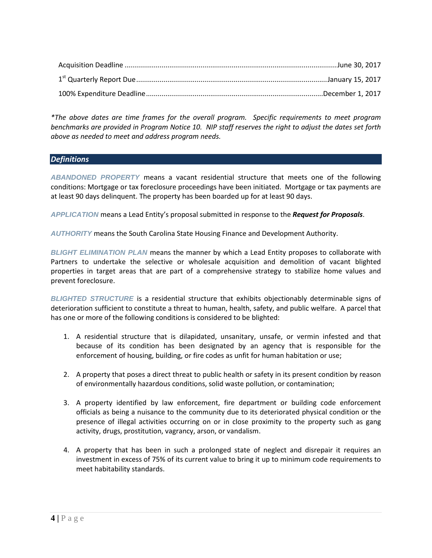*\*The above dates are time frames for the overall program. Specific requirements to meet program benchmarks are provided in Program Notice 10. NIP staff reserves the right to adjust the dates set forth above as needed to meet and address program needs.*

# *Definitions*

*ABANDONED PROPERTY* means a vacant residential structure that meets one of the following conditions: Mortgage or tax foreclosure proceedings have been initiated. Mortgage or tax payments are at least 90 days delinquent. The property has been boarded up for at least 90 days.

*APPLICATION* means a Lead Entity's proposal submitted in response to the *Request for Proposals*.

*AUTHORITY* means the South Carolina State Housing Finance and Development Authority.

*BLIGHT ELIMINATION PLAN* means the manner by which a Lead Entity proposes to collaborate with Partners to undertake the selective or wholesale acquisition and demolition of vacant blighted properties in target areas that are part of a comprehensive strategy to stabilize home values and prevent foreclosure.

*BLIGHTED STRUCTURE* is a residential structure that exhibits objectionably determinable signs of deterioration sufficient to constitute a threat to human, health, safety, and public welfare. A parcel that has one or more of the following conditions is considered to be blighted:

- 1. A residential structure that is dilapidated, unsanitary, unsafe, or vermin infested and that because of its condition has been designated by an agency that is responsible for the enforcement of housing, building, or fire codes as unfit for human habitation or use;
- 2. A property that poses a direct threat to public health or safety in its present condition by reason of environmentally hazardous conditions, solid waste pollution, or contamination;
- 3. A property identified by law enforcement, fire department or building code enforcement officials as being a nuisance to the community due to its deteriorated physical condition or the presence of illegal activities occurring on or in close proximity to the property such as gang activity, drugs, prostitution, vagrancy, arson, or vandalism.
- 4. A property that has been in such a prolonged state of neglect and disrepair it requires an investment in excess of 75% of its current value to bring it up to minimum code requirements to meet habitability standards.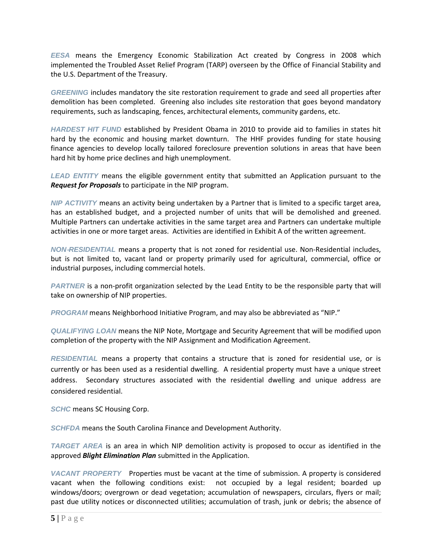*EESA* means the Emergency Economic Stabilization Act created by Congress in 2008 which implemented the Troubled Asset Relief Program (TARP) overseen by the Office of Financial Stability and the U.S. Department of the Treasury.

*GREENING* includes mandatory the site restoration requirement to grade and seed all properties after demolition has been completed. Greening also includes site restoration that goes beyond mandatory requirements, such as landscaping, fences, architectural elements, community gardens, etc.

*HARDEST HIT FUND* established by President Obama in 2010 to provide aid to families in states hit hard by the economic and housing market downturn. The HHF provides funding for state housing finance agencies to develop locally tailored foreclosure prevention solutions in areas that have been hard hit by home price declines and high unemployment.

*LEAD ENTITY* means the eligible government entity that submitted an Application pursuant to the *Request for Proposals* to participate in the NIP program.

*NIP ACTIVITY* means an activity being undertaken by a Partner that is limited to a specific target area, has an established budget, and a projected number of units that will be demolished and greened. Multiple Partners can undertake activities in the same target area and Partners can undertake multiple activities in one or more target areas. Activities are identified in Exhibit A of the written agreement.

*NON*‐*RESIDENTIAL* means a property that is not zoned for residential use. Non-Residential includes, but is not limited to, vacant land or property primarily used for agricultural, commercial, office or industrial purposes, including commercial hotels.

*PARTNER* is a non-profit organization selected by the Lead Entity to be the responsible party that will take on ownership of NIP properties.

*PROGRAM* means Neighborhood Initiative Program, and may also be abbreviated as "NIP."

*QUALIFYING LOAN* means the NIP Note, Mortgage and Security Agreement that will be modified upon completion of the property with the NIP Assignment and Modification Agreement.

*RESIDENTIAL* means a property that contains a structure that is zoned for residential use, or is currently or has been used as a residential dwelling. A residential property must have a unique street address. Secondary structures associated with the residential dwelling and unique address are considered residential.

*SCHC* means SC Housing Corp.

*SCHFDA* means the South Carolina Finance and Development Authority.

*TARGET AREA* is an area in which NIP demolition activity is proposed to occur as identified in the approved *Blight Elimination Plan* submitted in the Application.

*VACANT PROPERTY* Properties must be vacant at the time of submission. A property is considered vacant when the following conditions exist: not occupied by a legal resident; boarded up windows/doors; overgrown or dead vegetation; accumulation of newspapers, circulars, flyers or mail; past due utility notices or disconnected utilities; accumulation of trash, junk or debris; the absence of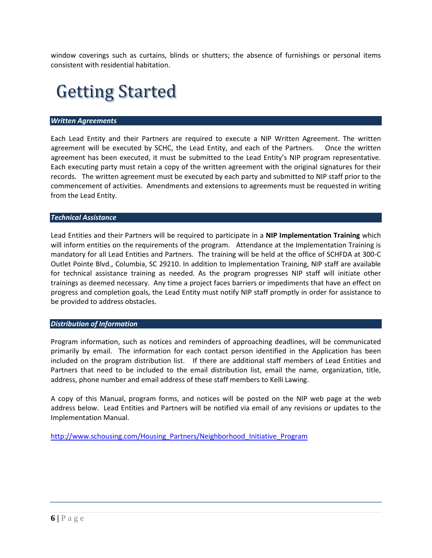window coverings such as curtains, blinds or shutters; the absence of furnishings or personal items consistent with residential habitation.

# Getting Started

#### *Written Agreements*

Each Lead Entity and their Partners are required to execute a NIP Written Agreement. The written agreement will be executed by SCHC, the Lead Entity, and each of the Partners. Once the written agreement has been executed, it must be submitted to the Lead Entity's NIP program representative. Each executing party must retain a copy of the written agreement with the original signatures for their records. The written agreement must be executed by each party and submitted to NIP staff prior to the commencement of activities. Amendments and extensions to agreements must be requested in writing from the Lead Entity.

#### *Technical Assistance*

Lead Entities and their Partners will be required to participate in a **NIP Implementation Training** which will inform entities on the requirements of the program. Attendance at the Implementation Training is mandatory for all Lead Entities and Partners. The training will be held at the office of SCHFDA at 300-C Outlet Pointe Blvd., Columbia, SC 29210. In addition to Implementation Training, NIP staff are available for technical assistance training as needed. As the program progresses NIP staff will initiate other trainings as deemed necessary. Any time a project faces barriers or impediments that have an effect on progress and completion goals, the Lead Entity must notify NIP staff promptly in order for assistance to be provided to address obstacles.

#### *Distribution of Information*

Program information, such as notices and reminders of approaching deadlines, will be communicated primarily by email. The information for each contact person identified in the Application has been included on the program distribution list. If there are additional staff members of Lead Entities and Partners that need to be included to the email distribution list, email the name, organization, title, address, phone number and email address of these staff members to Kelli Lawing.

A copy of this Manual, program forms, and notices will be posted on the NIP web page at the web address below. Lead Entities and Partners will be notified via email of any revisions or updates to the Implementation Manual.

[http://www.schousing.com/Housing\\_Partners/Neighborhood\\_Initiative\\_Program](http://www.schousing.com/Housing_Partners/Neighborhood_Initiative_Program)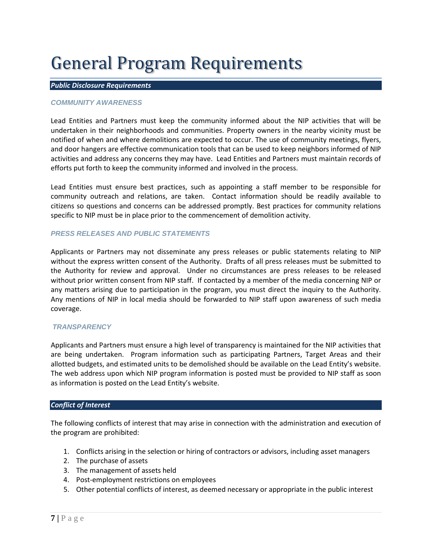# General Program Requirements

### *Public Disclosure Requirements*

### *COMMUNITY AWARENESS*

Lead Entities and Partners must keep the community informed about the NIP activities that will be undertaken in their neighborhoods and communities. Property owners in the nearby vicinity must be notified of when and where demolitions are expected to occur. The use of community meetings, flyers, and door hangers are effective communication tools that can be used to keep neighbors informed of NIP activities and address any concerns they may have. Lead Entities and Partners must maintain records of efforts put forth to keep the community informed and involved in the process.

Lead Entities must ensure best practices, such as appointing a staff member to be responsible for community outreach and relations, are taken. Contact information should be readily available to citizens so questions and concerns can be addressed promptly. Best practices for community relations specific to NIP must be in place prior to the commencement of demolition activity.

#### *PRESS RELEASES AND PUBLIC STATEMENTS*

Applicants or Partners may not disseminate any press releases or public statements relating to NIP without the express written consent of the Authority. Drafts of all press releases must be submitted to the Authority for review and approval. Under no circumstances are press releases to be released without prior written consent from NIP staff. If contacted by a member of the media concerning NIP or any matters arising due to participation in the program, you must direct the inquiry to the Authority. Any mentions of NIP in local media should be forwarded to NIP staff upon awareness of such media coverage.

### *TRANSPARENCY*

Applicants and Partners must ensure a high level of transparency is maintained for the NIP activities that are being undertaken. Program information such as participating Partners, Target Areas and their allotted budgets, and estimated units to be demolished should be available on the Lead Entity's website. The web address upon which NIP program information is posted must be provided to NIP staff as soon as information is posted on the Lead Entity's website.

### *Conflict of Interest*

The following conflicts of interest that may arise in connection with the administration and execution of the program are prohibited:

- 1. Conflicts arising in the selection or hiring of contractors or advisors, including asset managers
- 2. The purchase of assets
- 3. The management of assets held
- 4. Post-employment restrictions on employees
- 5. Other potential conflicts of interest, as deemed necessary or appropriate in the public interest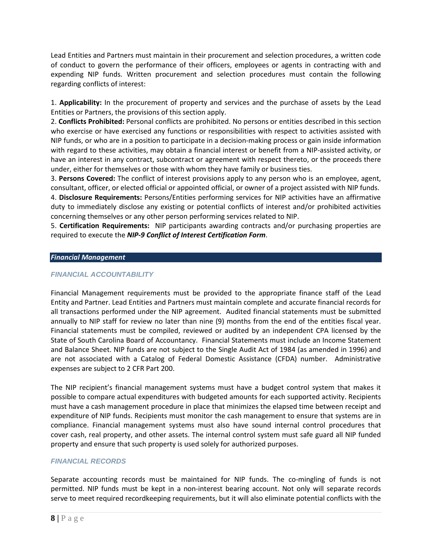Lead Entities and Partners must maintain in their procurement and selection procedures, a written code of conduct to govern the performance of their officers, employees or agents in contracting with and expending NIP funds. Written procurement and selection procedures must contain the following regarding conflicts of interest:

1. **Applicability:** In the procurement of property and services and the purchase of assets by the Lead Entities or Partners, the provisions of this section apply.

2. **Conflicts Prohibited:** Personal conflicts are prohibited. No persons or entities described in this section who exercise or have exercised any functions or responsibilities with respect to activities assisted with NIP funds, or who are in a position to participate in a decision-making process or gain inside information with regard to these activities, may obtain a financial interest or benefit from a NIP-assisted activity, or have an interest in any contract, subcontract or agreement with respect thereto, or the proceeds there under, either for themselves or those with whom they have family or business ties.

3. **Persons Covered:** The conflict of interest provisions apply to any person who is an employee, agent, consultant, officer, or elected official or appointed official, or owner of a project assisted with NIP funds.

4. **Disclosure Requirements:** Persons/Entities performing services for NIP activities have an affirmative duty to immediately disclose any existing or potential conflicts of interest and/or prohibited activities concerning themselves or any other person performing services related to NIP.

5. **Certification Requirements:** NIP participants awarding contracts and/or purchasing properties are required to execute the *NIP-9 Conflict of Interest Certification Form*.

### *Financial Management*

### *FINANCIAL ACCOUNTABILITY*

Financial Management requirements must be provided to the appropriate finance staff of the Lead Entity and Partner. Lead Entities and Partners must maintain complete and accurate financial records for all transactions performed under the NIP agreement. Audited financial statements must be submitted annually to NIP staff for review no later than nine (9) months from the end of the entities fiscal year. Financial statements must be compiled, reviewed or audited by an independent CPA licensed by the State of South Carolina Board of Accountancy. Financial Statements must include an Income Statement and Balance Sheet. NIP funds are not subject to the Single Audit Act of 1984 (as amended in 1996) and are not associated with a Catalog of Federal Domestic Assistance (CFDA) number. Administrative expenses are subject to 2 CFR Part 200.

The NIP recipient's financial management systems must have a budget control system that makes it possible to compare actual expenditures with budgeted amounts for each supported activity. Recipients must have a cash management procedure in place that minimizes the elapsed time between receipt and expenditure of NIP funds. Recipients must monitor the cash management to ensure that systems are in compliance. Financial management systems must also have sound internal control procedures that cover cash, real property, and other assets. The internal control system must safe guard all NIP funded property and ensure that such property is used solely for authorized purposes.

### *FINANCIAL RECORDS*

Separate accounting records must be maintained for NIP funds. The co-mingling of funds is not permitted. NIP funds must be kept in a non-interest bearing account. Not only will separate records serve to meet required recordkeeping requirements, but it will also eliminate potential conflicts with the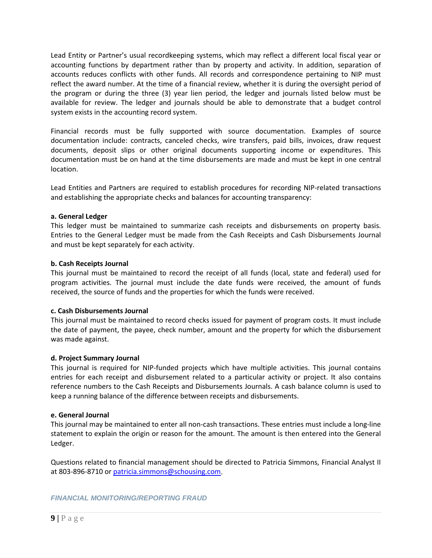Lead Entity or Partner's usual recordkeeping systems, which may reflect a different local fiscal year or accounting functions by department rather than by property and activity. In addition, separation of accounts reduces conflicts with other funds. All records and correspondence pertaining to NIP must reflect the award number. At the time of a financial review, whether it is during the oversight period of the program or during the three (3) year lien period, the ledger and journals listed below must be available for review. The ledger and journals should be able to demonstrate that a budget control system exists in the accounting record system.

Financial records must be fully supported with source documentation. Examples of source documentation include: contracts, canceled checks, wire transfers, paid bills, invoices, draw request documents, deposit slips or other original documents supporting income or expenditures. This documentation must be on hand at the time disbursements are made and must be kept in one central location.

Lead Entities and Partners are required to establish procedures for recording NIP-related transactions and establishing the appropriate checks and balances for accounting transparency:

### **a. General Ledger**

This ledger must be maintained to summarize cash receipts and disbursements on property basis. Entries to the General Ledger must be made from the Cash Receipts and Cash Disbursements Journal and must be kept separately for each activity.

#### **b. Cash Receipts Journal**

This journal must be maintained to record the receipt of all funds (local, state and federal) used for program activities. The journal must include the date funds were received, the amount of funds received, the source of funds and the properties for which the funds were received.

### **c. Cash Disbursements Journal**

This journal must be maintained to record checks issued for payment of program costs. It must include the date of payment, the payee, check number, amount and the property for which the disbursement was made against.

### **d. Project Summary Journal**

This journal is required for NIP-funded projects which have multiple activities. This journal contains entries for each receipt and disbursement related to a particular activity or project. It also contains reference numbers to the Cash Receipts and Disbursements Journals. A cash balance column is used to keep a running balance of the difference between receipts and disbursements.

#### **e. General Journal**

This journal may be maintained to enter all non-cash transactions. These entries must include a long-line statement to explain the origin or reason for the amount. The amount is then entered into the General Ledger.

Questions related to financial management should be directed to Patricia Simmons, Financial Analyst II at 803-896-8710 o[r patricia.simmons@schousing.com.](mailto:patricia.simmons@schousing.com)

*FINANCIAL MONITORING/REPORTING FRAUD*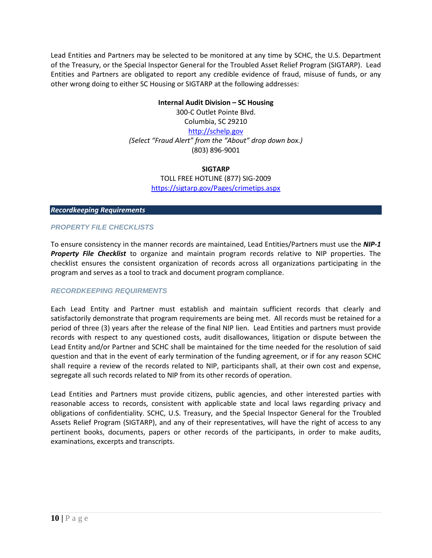Lead Entities and Partners may be selected to be monitored at any time by SCHC, the U.S. Department of the Treasury, or the Special Inspector General for the Troubled Asset Relief Program (SIGTARP). Lead Entities and Partners are obligated to report any credible evidence of fraud, misuse of funds, or any other wrong doing to either SC Housing or SIGTARP at the following addresses:

#### **Internal Audit Division – SC Housing**

300-C Outlet Pointe Blvd.

Columbia, SC 29210

[http://schelp.gov](http://schelp.gov/)

*(Select "Fraud Alert" from the "About" drop down box.)* (803) 896-9001

#### **SIGTARP**

TOLL FREE HOTLINE (877) SIG-2009 <https://sigtarp.gov/Pages/crimetips.aspx>

### *Recordkeeping Requirements*

### *PROPERTY FILE CHECKLISTS*

To ensure consistency in the manner records are maintained, Lead Entities/Partners must use the *NIP-1 Property File Checklist* to organize and maintain program records relative to NIP properties. The checklist ensures the consistent organization of records across all organizations participating in the program and serves as a tool to track and document program compliance.

### *RECORDKEEPING REQUIRMENTS*

Each Lead Entity and Partner must establish and maintain sufficient records that clearly and satisfactorily demonstrate that program requirements are being met. All records must be retained for a period of three (3) years after the release of the final NIP lien. Lead Entities and partners must provide records with respect to any questioned costs, audit disallowances, litigation or dispute between the Lead Entity and/or Partner and SCHC shall be maintained for the time needed for the resolution of said question and that in the event of early termination of the funding agreement, or if for any reason SCHC shall require a review of the records related to NIP, participants shall, at their own cost and expense, segregate all such records related to NIP from its other records of operation.

Lead Entities and Partners must provide citizens, public agencies, and other interested parties with reasonable access to records, consistent with applicable state and local laws regarding privacy and obligations of confidentiality. SCHC, U.S. Treasury, and the Special Inspector General for the Troubled Assets Relief Program (SIGTARP), and any of their representatives, will have the right of access to any pertinent books, documents, papers or other records of the participants, in order to make audits, examinations, excerpts and transcripts.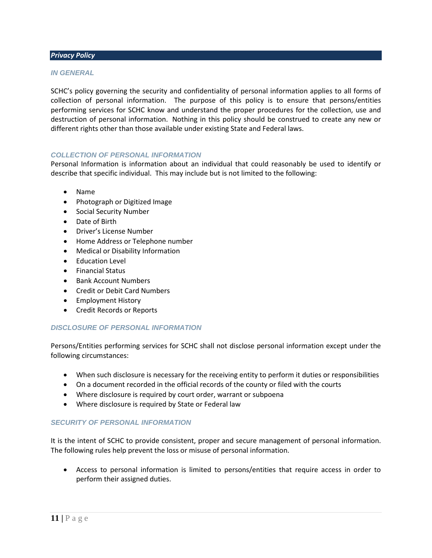#### *Privacy Policy*

#### *IN GENERAL*

SCHC's policy governing the security and confidentiality of personal information applies to all forms of collection of personal information. The purpose of this policy is to ensure that persons/entities performing services for SCHC know and understand the proper procedures for the collection, use and destruction of personal information. Nothing in this policy should be construed to create any new or different rights other than those available under existing State and Federal laws.

#### *COLLECTION OF PERSONAL INFORMATION*

Personal Information is information about an individual that could reasonably be used to identify or describe that specific individual. This may include but is not limited to the following:

- Name
- Photograph or Digitized Image
- Social Security Number
- Date of Birth
- Driver's License Number
- Home Address or Telephone number
- Medical or Disability Information
- Education Level
- Financial Status
- Bank Account Numbers
- Credit or Debit Card Numbers
- Employment History
- Credit Records or Reports

#### *DISCLOSURE OF PERSONAL INFORMATION*

Persons/Entities performing services for SCHC shall not disclose personal information except under the following circumstances:

- When such disclosure is necessary for the receiving entity to perform it duties or responsibilities
- On a document recorded in the official records of the county or filed with the courts
- Where disclosure is required by court order, warrant or subpoena
- Where disclosure is required by State or Federal law

### *SECURITY OF PERSONAL INFORMATION*

It is the intent of SCHC to provide consistent, proper and secure management of personal information. The following rules help prevent the loss or misuse of personal information.

• Access to personal information is limited to persons/entities that require access in order to perform their assigned duties.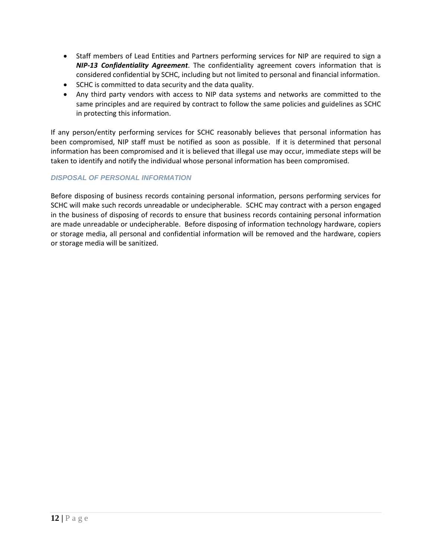- Staff members of Lead Entities and Partners performing services for NIP are required to sign a *NIP-13 Confidentiality Agreement*. The confidentiality agreement covers information that is considered confidential by SCHC, including but not limited to personal and financial information.
- SCHC is committed to data security and the data quality.
- Any third party vendors with access to NIP data systems and networks are committed to the same principles and are required by contract to follow the same policies and guidelines as SCHC in protecting this information.

If any person/entity performing services for SCHC reasonably believes that personal information has been compromised, NIP staff must be notified as soon as possible. If it is determined that personal information has been compromised and it is believed that illegal use may occur, immediate steps will be taken to identify and notify the individual whose personal information has been compromised.

# *DISPOSAL OF PERSONAL INFORMATION*

Before disposing of business records containing personal information, persons performing services for SCHC will make such records unreadable or undecipherable. SCHC may contract with a person engaged in the business of disposing of records to ensure that business records containing personal information are made unreadable or undecipherable. Before disposing of information technology hardware, copiers or storage media, all personal and confidential information will be removed and the hardware, copiers or storage media will be sanitized.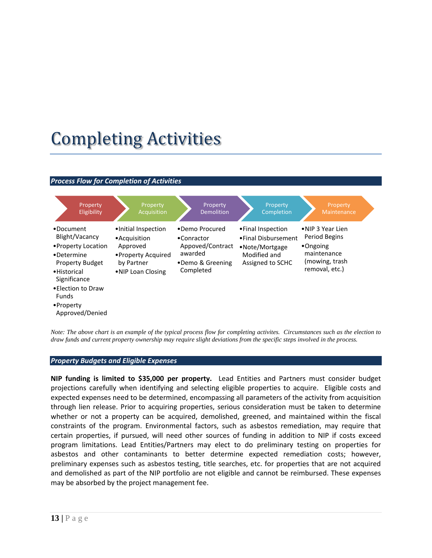# Completing Activities

#### *Process Flow for Completion of Activities*



*Note: The above chart is an example of the typical process flow for completing activites. Circumstances such as the election to draw funds and current property ownership may require slight deviations from the specific steps involved in the process.*

#### *Property Budgets and Eligible Expenses*

**NIP funding is limited to \$35,000 per property.** Lead Entities and Partners must consider budget projections carefully when identifying and selecting eligible properties to acquire. Eligible costs and expected expenses need to be determined, encompassing all parameters of the activity from acquisition through lien release. Prior to acquiring properties, serious consideration must be taken to determine whether or not a property can be acquired, demolished, greened, and maintained within the fiscal constraints of the program. Environmental factors, such as asbestos remediation, may require that certain properties, if pursued, will need other sources of funding in addition to NIP if costs exceed program limitations. Lead Entities/Partners may elect to do preliminary testing on properties for asbestos and other contaminants to better determine expected remediation costs; however, preliminary expenses such as asbestos testing, title searches, etc. for properties that are not acquired and demolished as part of the NIP portfolio are not eligible and cannot be reimbursed. These expenses may be absorbed by the project management fee.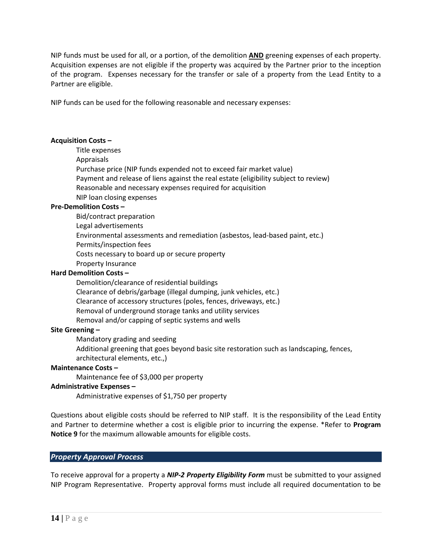NIP funds must be used for all, or a portion, of the demolition **AND** greening expenses of each property. Acquisition expenses are not eligible if the property was acquired by the Partner prior to the inception of the program. Expenses necessary for the transfer or sale of a property from the Lead Entity to a Partner are eligible.

NIP funds can be used for the following reasonable and necessary expenses:

#### **Acquisition Costs –**

Title expenses Appraisals Purchase price (NIP funds expended not to exceed fair market value) Payment and release of liens against the real estate (eligibility subject to review) Reasonable and necessary expenses required for acquisition NIP loan closing expenses

### **Pre-Demolition Costs –**

Bid/contract preparation Legal advertisements Environmental assessments and remediation (asbestos, lead-based paint, etc.) Permits/inspection fees Costs necessary to board up or secure property Property Insurance

#### **Hard Demolition Costs –**

Demolition/clearance of residential buildings Clearance of debris/garbage (illegal dumping, junk vehicles, etc.) Clearance of accessory structures (poles, fences, driveways, etc.) Removal of underground storage tanks and utility services Removal and/or capping of septic systems and wells

#### **Site Greening –**

Mandatory grading and seeding

Additional greening that goes beyond basic site restoration such as landscaping, fences,

architectural elements, etc.,)

### **Maintenance Costs –**

Maintenance fee of \$3,000 per property

#### **Administrative Expenses –**

Administrative expenses of \$1,750 per property

Questions about eligible costs should be referred to NIP staff. It is the responsibility of the Lead Entity and Partner to determine whether a cost is eligible prior to incurring the expense. \*Refer to **Program Notice 9** for the maximum allowable amounts for eligible costs.

### *Property Approval Process*

To receive approval for a property a *NIP-2 Property Eligibility Form* must be submitted to your assigned NIP Program Representative. Property approval forms must include all required documentation to be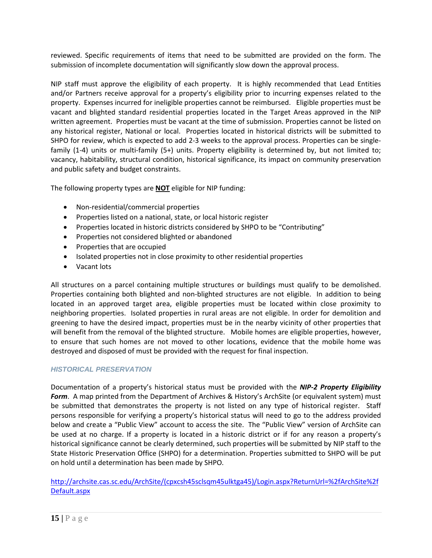reviewed. Specific requirements of items that need to be submitted are provided on the form. The submission of incomplete documentation will significantly slow down the approval process.

NIP staff must approve the eligibility of each property. It is highly recommended that Lead Entities and/or Partners receive approval for a property's eligibility prior to incurring expenses related to the property. Expenses incurred for ineligible properties cannot be reimbursed. Eligible properties must be vacant and blighted standard residential properties located in the Target Areas approved in the NIP written agreement. Properties must be vacant at the time of submission. Properties cannot be listed on any historical register, National or local. Properties located in historical districts will be submitted to SHPO for review, which is expected to add 2-3 weeks to the approval process. Properties can be singlefamily (1-4) units or multi-family (5+) units. Property eligibility is determined by, but not limited to; vacancy, habitability, structural condition, historical significance, its impact on community preservation and public safety and budget constraints.

The following property types are **NOT** eligible for NIP funding:

- Non-residential/commercial properties
- Properties listed on a national, state, or local historic register
- Properties located in historic districts considered by SHPO to be "Contributing"
- Properties not considered blighted or abandoned
- Properties that are occupied
- Isolated properties not in close proximity to other residential properties
- Vacant lots

All structures on a parcel containing multiple structures or buildings must qualify to be demolished. Properties containing both blighted and non-blighted structures are not eligible. In addition to being located in an approved target area, eligible properties must be located within close proximity to neighboring properties. Isolated properties in rural areas are not eligible. In order for demolition and greening to have the desired impact, properties must be in the nearby vicinity of other properties that will benefit from the removal of the blighted structure. Mobile homes are eligible properties, however, to ensure that such homes are not moved to other locations, evidence that the mobile home was destroyed and disposed of must be provided with the request for final inspection.

# *HISTORICAL PRESERVATION*

Documentation of a property's historical status must be provided with the *NIP-2 Property Eligibility Form*. A map printed from the Department of Archives & History's ArchSite (or equivalent system) must be submitted that demonstrates the property is not listed on any type of historical register. Staff persons responsible for verifying a property's historical status will need to go to the address provided below and create a "Public View" account to access the site. The "Public View" version of ArchSite can be used at no charge. If a property is located in a historic district or if for any reason a property's historical significance cannot be clearly determined, such properties will be submitted by NIP staff to the State Historic Preservation Office (SHPO) for a determination. Properties submitted to SHPO will be put on hold until a determination has been made by SHPO.

[http://archsite.cas.sc.edu/ArchSite/\(cpxcsh45sclsqm45ulktga45\)/Login.aspx?ReturnUrl=%2fArchSite%2f](http://archsite.cas.sc.edu/ArchSite/(cpxcsh45sclsqm45ulktga45)/Login.aspx?ReturnUrl=%2fArchSite%2fDefault.aspx) [Default.aspx](http://archsite.cas.sc.edu/ArchSite/(cpxcsh45sclsqm45ulktga45)/Login.aspx?ReturnUrl=%2fArchSite%2fDefault.aspx)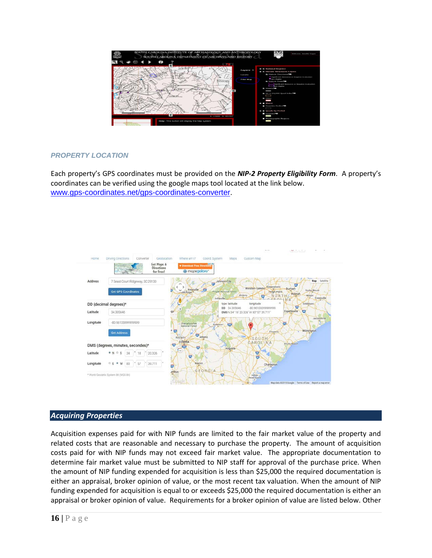

### *PROPERTY LOCATION*

Each property's GPS coordinates must be provided on the *NIP-2 Property Eligibility Form*. A property's coordinates can be verified using the google maps tool located at the link below. [www.gps-coordinates.net/gps-coordinates-converter.](http://www.gps-coordinates.net/gps-coordinates-converter)



### *Acquiring Properties*

Acquisition expenses paid for with NIP funds are limited to the fair market value of the property and related costs that are reasonable and necessary to purchase the property. The amount of acquisition costs paid for with NIP funds may not exceed fair market value. The appropriate documentation to determine fair market value must be submitted to NIP staff for approval of the purchase price. When the amount of NIP funding expended for acquisition is less than \$25,000 the required documentation is either an appraisal, broker opinion of value, or the most recent tax valuation. When the amount of NIP funding expended for acquisition is equal to or exceeds \$25,000 the required documentation is either an appraisal or broker opinion of value. Requirements for a broker opinion of value are listed below. Other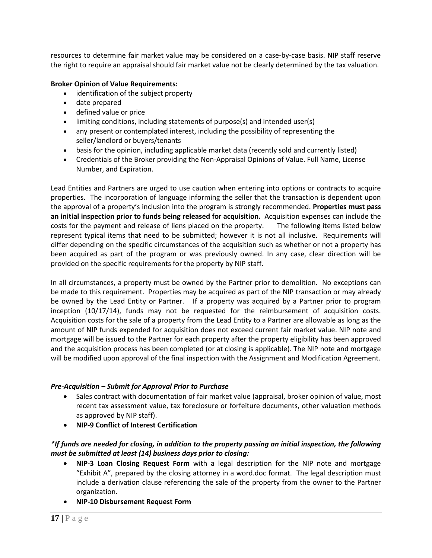resources to determine fair market value may be considered on a case-by-case basis. NIP staff reserve the right to require an appraisal should fair market value not be clearly determined by the tax valuation.

### **Broker Opinion of Value Requirements:**

- identification of the subject property
- date prepared
- defined value or price
- limiting conditions, including statements of purpose(s) and intended user(s)
- any present or contemplated interest, including the possibility of representing the seller/landlord or buyers/tenants
- basis for the opinion, including applicable market data (recently sold and currently listed)
- Credentials of the Broker providing the Non-Appraisal Opinions of Value. Full Name, License Number, and Expiration.

Lead Entities and Partners are urged to use caution when entering into options or contracts to acquire properties. The incorporation of language informing the seller that the transaction is dependent upon the approval of a property's inclusion into the program is strongly recommended. **Properties must pass an initial inspection prior to funds being released for acquisition.** Acquisition expenses can include the costs for the payment and release of liens placed on the property. The following items listed below represent typical items that need to be submitted; however it is not all inclusive. Requirements will differ depending on the specific circumstances of the acquisition such as whether or not a property has been acquired as part of the program or was previously owned. In any case, clear direction will be provided on the specific requirements for the property by NIP staff.

In all circumstances, a property must be owned by the Partner prior to demolition. No exceptions can be made to this requirement. Properties may be acquired as part of the NIP transaction or may already be owned by the Lead Entity or Partner. If a property was acquired by a Partner prior to program inception (10/17/14), funds may not be requested for the reimbursement of acquisition costs. Acquisition costs for the sale of a property from the Lead Entity to a Partner are allowable as long as the amount of NIP funds expended for acquisition does not exceed current fair market value. NIP note and mortgage will be issued to the Partner for each property after the property eligibility has been approved and the acquisition process has been completed (or at closing is applicable). The NIP note and mortgage will be modified upon approval of the final inspection with the Assignment and Modification Agreement.

### *Pre-Acquisition – Submit for Approval Prior to Purchase*

- Sales contract with documentation of fair market value (appraisal, broker opinion of value, most recent tax assessment value, tax foreclosure or forfeiture documents, other valuation methods as approved by NIP staff).
- **NIP-9 Conflict of Interest Certification**

# *\*If funds are needed for closing, in addition to the property passing an initial inspection, the following must be submitted at least (14) business days prior to closing:*

- **NIP-3 Loan Closing Request Form** with a legal description for the NIP note and mortgage "Exhibit A", prepared by the closing attorney in a word.doc format. The legal description must include a derivation clause referencing the sale of the property from the owner to the Partner organization.
- **NIP-10 Disbursement Request Form**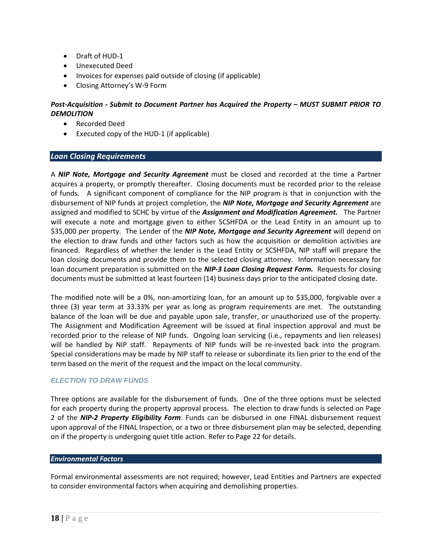- Draft of HUD-1
- Unexecuted Deed
- Invoices for expenses paid outside of closing (if applicable)
- Closing Attorney's W-9 Form

### *Post-Acquisition - Submit to Document Partner has Acquired the Property – MUST SUBMIT PRIOR TO DEMOLITION*

- Recorded Deed
- Executed copy of the HUD-1 (if applicable)

### *Loan Closing Requirements*

A *NIP Note, Mortgage and Security Agreement* must be closed and recorded at the time a Partner acquires a property, or promptly thereafter. Closing documents must be recorded prior to the release of funds. A significant component of compliance for the NIP program is that in conjunction with the disbursement of NIP funds at project completion, the *NIP Note, Mortgage and Security Agreement* are assigned and modified to SCHC by virtue of the *Assignment and Modification Agreement.* The Partner will execute a note and mortgage given to either SCSHFDA or the Lead Entity in an amount up to \$35,000 per property. The Lender of the *NIP Note, Mortgage and Security Agreement* will depend on the election to draw funds and other factors such as how the acquisition or demolition activities are financed. Regardless of whether the lender is the Lead Entity or SCSHFDA, NIP staff will prepare the loan closing documents and provide them to the selected closing attorney. Information necessary for loan document preparation is submitted on the *NIP-3 Loan Closing Request Form.* Requests for closing documents must be submitted at least fourteen (14) business days prior to the anticipated closing date.

The modified note will be a 0%, non-amortizing loan, for an amount up to \$35,000, forgivable over a three (3) year term at 33.33% per year as long as program requirements are met. The outstanding balance of the loan will be due and payable upon sale, transfer, or unauthorized use of the property. The Assignment and Modification Agreement will be issued at final inspection approval and must be recorded prior to the release of NIP funds. Ongoing loan servicing (i.e., repayments and lien releases) will be handled by NIP staff. Repayments of NIP funds will be re-invested back into the program. Special considerations may be made by NIP staff to release or subordinate its lien prior to the end of the term based on the merit of the request and the impact on the local community.

# *ELECTION TO DRAW FUNDS*

Three options are available for the disbursement of funds. One of the three options must be selected for each property during the property approval process. The election to draw funds is selected on Page 2 of the *NIP-2 Property Eligibility Form*. Funds can be disbursed in one FINAL disbursement request upon approval of the FINAL Inspection, or a two or three disbursement plan may be selected, depending on if the property is undergoing quiet title action. Refer to Page 22 for details.

### *Environmental Factors*

Formal environmental assessments are not required; however, Lead Entities and Partners are expected to consider environmental factors when acquiring and demolishing properties.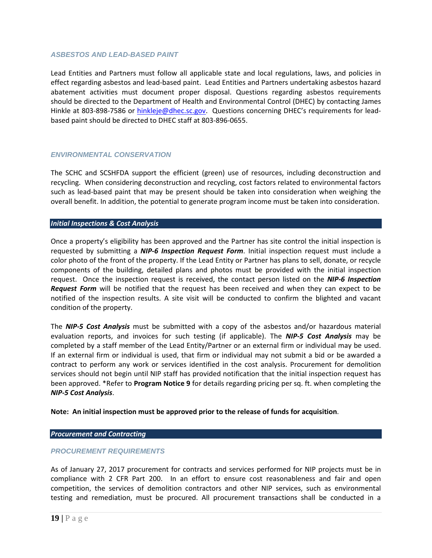#### *ASBESTOS AND LEAD-BASED PAINT*

Lead Entities and Partners must follow all applicable state and local regulations, laws, and policies in effect regarding asbestos and lead-based paint. Lead Entities and Partners undertaking asbestos hazard abatement activities must document proper disposal. Questions regarding asbestos requirements should be directed to the Department of Health and Environmental Control (DHEC) by contacting James Hinkle at 803-898-7586 or [hinkleje@dhec.sc.gov.](mailto:hinkleje@dhec.sc.gov) Questions concerning DHEC's requirements for leadbased paint should be directed to DHEC staff at 803-896-0655.

#### *ENVIRONMENTAL CONSERVATION*

The SCHC and SCSHFDA support the efficient (green) use of resources, including deconstruction and recycling. When considering deconstruction and recycling, cost factors related to environmental factors such as lead-based paint that may be present should be taken into consideration when weighing the overall benefit. In addition, the potential to generate program income must be taken into consideration.

#### *Initial Inspections & Cost Analysis*

Once a property's eligibility has been approved and the Partner has site control the initial inspection is requested by submitting a *NIP-6 Inspection Request Form*. Initial inspection request must include a color photo of the front of the property. If the Lead Entity or Partner has plans to sell, donate, or recycle components of the building, detailed plans and photos must be provided with the initial inspection request. Once the inspection request is received, the contact person listed on the *NIP-6 Inspection Request Form* will be notified that the request has been received and when they can expect to be notified of the inspection results. A site visit will be conducted to confirm the blighted and vacant condition of the property.

The *NIP-5 Cost Analysis* must be submitted with a copy of the asbestos and/or hazardous material evaluation reports, and invoices for such testing (if applicable). The *NIP-5 Cost Analysis* may be completed by a staff member of the Lead Entity/Partner or an external firm or individual may be used. If an external firm or individual is used, that firm or individual may not submit a bid or be awarded a contract to perform any work or services identified in the cost analysis. Procurement for demolition services should not begin until NIP staff has provided notification that the initial inspection request has been approved. \*Refer to **Program Notice 9** for details regarding pricing per sq. ft. when completing the *NIP-5 Cost Analysis*.

#### **Note: An initial inspection must be approved prior to the release of funds for acquisition**.

#### *Procurement and Contracting*

#### *PROCUREMENT REQUIREMENTS*

As of January 27, 2017 procurement for contracts and services performed for NIP projects must be in compliance with 2 CFR Part 200. In an effort to ensure cost reasonableness and fair and open competition, the services of demolition contractors and other NIP services, such as environmental testing and remediation, must be procured. All procurement transactions shall be conducted in a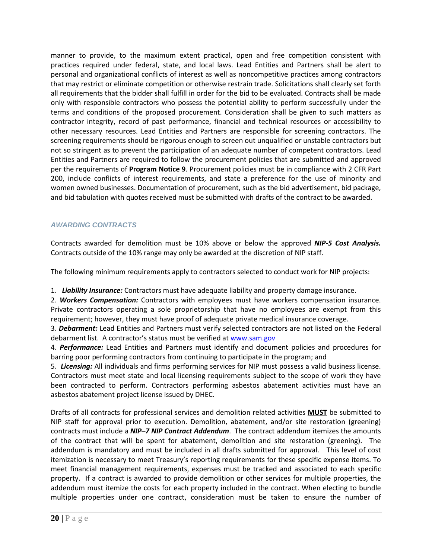manner to provide, to the maximum extent practical, open and free competition consistent with practices required under federal, state, and local laws. Lead Entities and Partners shall be alert to personal and organizational conflicts of interest as well as noncompetitive practices among contractors that may restrict or eliminate competition or otherwise restrain trade. Solicitations shall clearly set forth all requirements that the bidder shall fulfill in order for the bid to be evaluated. Contracts shall be made only with responsible contractors who possess the potential ability to perform successfully under the terms and conditions of the proposed procurement. Consideration shall be given to such matters as contractor integrity, record of past performance, financial and technical resources or accessibility to other necessary resources. Lead Entities and Partners are responsible for screening contractors. The screening requirements should be rigorous enough to screen out unqualified or unstable contractors but not so stringent as to prevent the participation of an adequate number of competent contractors. Lead Entities and Partners are required to follow the procurement policies that are submitted and approved per the requirements of **Program Notice 9**. Procurement policies must be in compliance with 2 CFR Part 200, include conflicts of interest requirements, and state a preference for the use of minority and women owned businesses. Documentation of procurement, such as the bid advertisement, bid package, and bid tabulation with quotes received must be submitted with drafts of the contract to be awarded.

# *AWARDING CONTRACTS*

Contracts awarded for demolition must be 10% above or below the approved *NIP-5 Cost Analysis.* Contracts outside of the 10% range may only be awarded at the discretion of NIP staff.

The following minimum requirements apply to contractors selected to conduct work for NIP projects:

1. *Liability Insurance:* Contractors must have adequate liability and property damage insurance.

2. *Workers Compensation:* Contractors with employees must have workers compensation insurance. Private contractors operating a sole proprietorship that have no employees are exempt from this requirement; however, they must have proof of adequate private medical insurance coverage.

3. *Debarment:* Lead Entities and Partners must verify selected contractors are not listed on the Federal debarment list. A contractor's status must be verified at www.sam.gov

4. *Performance:* Lead Entities and Partners must identify and document policies and procedures for barring poor performing contractors from continuing to participate in the program; and

5. *Licensing:* All individuals and firms performing services for NIP must possess a valid business license. Contractors must meet state and local licensing requirements subject to the scope of work they have been contracted to perform. Contractors performing asbestos abatement activities must have an asbestos abatement project license issued by DHEC.

Drafts of all contracts for professional services and demolition related activities **MUST** be submitted to NIP staff for approval prior to execution. Demolition, abatement, and/or site restoration (greening) contracts must include a *NIP–7 NIP Contract Addendum*. The contract addendum itemizes the amounts of the contract that will be spent for abatement, demolition and site restoration (greening). The addendum is mandatory and must be included in all drafts submitted for approval. This level of cost itemization is necessary to meet Treasury's reporting requirements for these specific expense items. To meet financial management requirements, expenses must be tracked and associated to each specific property. If a contract is awarded to provide demolition or other services for multiple properties, the addendum must itemize the costs for each property included in the contract. When electing to bundle multiple properties under one contract, consideration must be taken to ensure the number of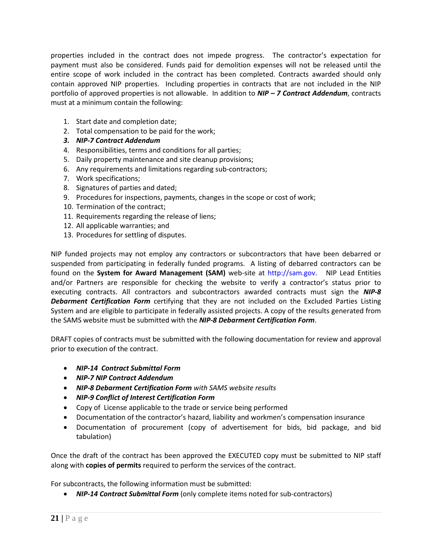properties included in the contract does not impede progress. The contractor's expectation for payment must also be considered. Funds paid for demolition expenses will not be released until the entire scope of work included in the contract has been completed. Contracts awarded should only contain approved NIP properties. Including properties in contracts that are not included in the NIP portfolio of approved properties is not allowable. In addition to *NIP – 7 Contract Addendum*, contracts must at a minimum contain the following:

- 1. Start date and completion date;
- 2. Total compensation to be paid for the work;
- *3. NIP-7 Contract Addendum*
- 4. Responsibilities, terms and conditions for all parties;
- 5. Daily property maintenance and site cleanup provisions;
- 6. Any requirements and limitations regarding sub-contractors;
- 7. Work specifications;
- 8. Signatures of parties and dated;
- 9. Procedures for inspections, payments, changes in the scope or cost of work;
- 10. Termination of the contract;
- 11. Requirements regarding the release of liens;
- 12. All applicable warranties; and
- 13. Procedures for settling of disputes.

NIP funded projects may not employ any contractors or subcontractors that have been debarred or suspended from participating in federally funded programs. A listing of debarred contractors can be found on the **System for Award Management (SAM)** web-site at http://sam.gov. NIP Lead Entities and/or Partners are responsible for checking the website to verify a contractor's status prior to executing contracts. All contractors and subcontractors awarded contracts must sign the *NIP-8 Debarment Certification Form* certifying that they are not included on the Excluded Parties Listing System and are eligible to participate in federally assisted projects. A copy of the results generated from the SAMS website must be submitted with the *NIP-8 Debarment Certification Form*.

DRAFT copies of contracts must be submitted with the following documentation for review and approval prior to execution of the contract.

- *NIP-14 Contract Submittal Form*
- *NIP-7 NIP Contract Addendum*
- *NIP-8 Debarment Certification Form with SAMS website results*
- *NIP-9 Conflict of Interest Certification Form*
- Copy of License applicable to the trade or service being performed
- Documentation of the contractor's hazard, liability and workmen's compensation insurance
- Documentation of procurement (copy of advertisement for bids, bid package, and bid tabulation)

Once the draft of the contract has been approved the EXECUTED copy must be submitted to NIP staff along with **copies of permits** required to perform the services of the contract.

For subcontracts, the following information must be submitted:

• *NIP-14 Contract Submittal Form* (only complete items noted for sub-contractors)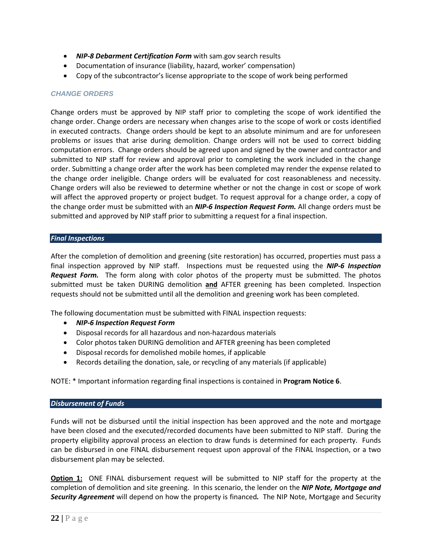- *NIP-8 Debarment Certification Form* with sam.gov search results
- Documentation of insurance (liability, hazard, worker' compensation)
- Copy of the subcontractor's license appropriate to the scope of work being performed

### *CHANGE ORDERS*

Change orders must be approved by NIP staff prior to completing the scope of work identified the change order. Change orders are necessary when changes arise to the scope of work or costs identified in executed contracts. Change orders should be kept to an absolute minimum and are for unforeseen problems or issues that arise during demolition. Change orders will not be used to correct bidding computation errors. Change orders should be agreed upon and signed by the owner and contractor and submitted to NIP staff for review and approval prior to completing the work included in the change order. Submitting a change order after the work has been completed may render the expense related to the change order ineligible. Change orders will be evaluated for cost reasonableness and necessity. Change orders will also be reviewed to determine whether or not the change in cost or scope of work will affect the approved property or project budget. To request approval for a change order, a copy of the change order must be submitted with an *NIP-6 Inspection Request Form.* All change orders must be submitted and approved by NIP staff prior to submitting a request for a final inspection.

#### *Final Inspections*

After the completion of demolition and greening (site restoration) has occurred, properties must pass a final inspection approved by NIP staff. Inspections must be requested using the *NIP-6 Inspection Request Form.* The form along with color photos of the property must be submitted. The photos submitted must be taken DURING demolition **and** AFTER greening has been completed. Inspection requests should not be submitted until all the demolition and greening work has been completed.

The following documentation must be submitted with FINAL inspection requests:

- *NIP-6 Inspection Request Form*
- Disposal records for all hazardous and non-hazardous materials
- Color photos taken DURING demolition and AFTER greening has been completed
- Disposal records for demolished mobile homes, if applicable
- Records detailing the donation, sale, or recycling of any materials (if applicable)

### NOTE: \* Important information regarding final inspections is contained in **Program Notice 6**.

#### *Disbursement of Funds*

Funds will not be disbursed until the initial inspection has been approved and the note and mortgage have been closed and the executed/recorded documents have been submitted to NIP staff. During the property eligibility approval process an election to draw funds is determined for each property. Funds can be disbursed in one FINAL disbursement request upon approval of the FINAL Inspection, or a two disbursement plan may be selected.

**Option 1:** ONE FINAL disbursement request will be submitted to NIP staff for the property at the completion of demolition and site greening. In this scenario, the lender on the *NIP Note, Mortgage and Security Agreement* will depend on how the property is financed*.* The NIP Note, Mortgage and Security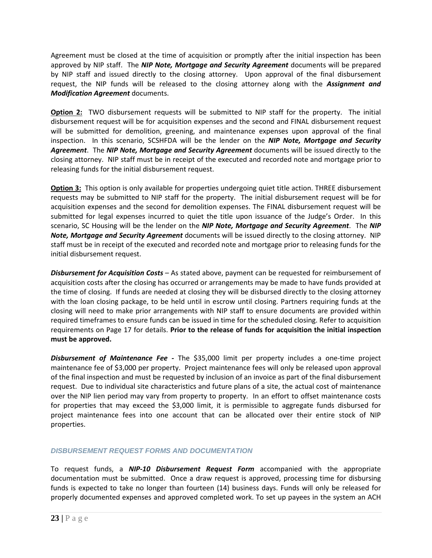Agreement must be closed at the time of acquisition or promptly after the initial inspection has been approved by NIP staff. The *NIP Note, Mortgage and Security Agreement* documents will be prepared by NIP staff and issued directly to the closing attorney. Upon approval of the final disbursement request, the NIP funds will be released to the closing attorney along with the *Assignment and Modification Agreement* documents.

**Option 2:** TWO disbursement requests will be submitted to NIP staff for the property. The initial disbursement request will be for acquisition expenses and the second and FINAL disbursement request will be submitted for demolition, greening, and maintenance expenses upon approval of the final inspection. In this scenario, SCSHFDA will be the lender on the *NIP Note, Mortgage and Security Agreement*. The *NIP Note, Mortgage and Security Agreement* documents will be issued directly to the closing attorney. NIP staff must be in receipt of the executed and recorded note and mortgage prior to releasing funds for the initial disbursement request.

**Option 3:** This option is only available for properties undergoing quiet title action. THREE disbursement requests may be submitted to NIP staff for the property. The initial disbursement request will be for acquisition expenses and the second for demolition expenses. The FINAL disbursement request will be submitted for legal expenses incurred to quiet the title upon issuance of the Judge's Order. In this scenario, SC Housing will be the lender on the *NIP Note, Mortgage and Security Agreement*. The *NIP Note, Mortgage and Security Agreement* documents will be issued directly to the closing attorney. NIP staff must be in receipt of the executed and recorded note and mortgage prior to releasing funds for the initial disbursement request.

*Disbursement for Acquisition Costs –* As stated above, payment can be requested for reimbursement of acquisition costs after the closing has occurred or arrangements may be made to have funds provided at the time of closing. If funds are needed at closing they will be disbursed directly to the closing attorney with the loan closing package, to be held until in escrow until closing. Partners requiring funds at the closing will need to make prior arrangements with NIP staff to ensure documents are provided within required timeframes to ensure funds can be issued in time for the scheduled closing. Refer to acquisition requirements on Page 17 for details. **Prior to the release of funds for acquisition the initial inspection must be approved.**

*Disbursement of Maintenance Fee -* The \$35,000 limit per property includes a one-time project maintenance fee of \$3,000 per property. Project maintenance fees will only be released upon approval of the final inspection and must be requested by inclusion of an invoice as part of the final disbursement request. Due to individual site characteristics and future plans of a site, the actual cost of maintenance over the NIP lien period may vary from property to property. In an effort to offset maintenance costs for properties that may exceed the \$3,000 limit, it is permissible to aggregate funds disbursed for project maintenance fees into one account that can be allocated over their entire stock of NIP properties.

# *DISBURSEMENT REQUEST FORMS AND DOCUMENTATION*

To request funds, a *NIP-10 Disbursement Request Form* accompanied with the appropriate documentation must be submitted. Once a draw request is approved, processing time for disbursing funds is expected to take no longer than fourteen (14) business days. Funds will only be released for properly documented expenses and approved completed work. To set up payees in the system an ACH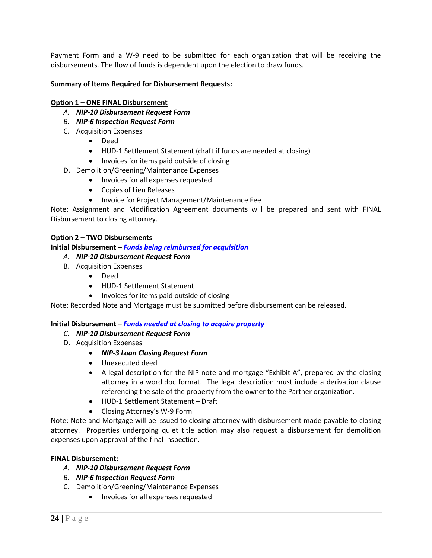Payment Form and a W-9 need to be submitted for each organization that will be receiving the disbursements. The flow of funds is dependent upon the election to draw funds.

### **Summary of Items Required for Disbursement Requests:**

### **Option 1 – ONE FINAL Disbursement**

- *A. NIP-10 Disbursement Request Form*
- *B. NIP-6 Inspection Request Form*
- C. Acquisition Expenses
	- Deed
	- HUD-1 Settlement Statement (draft if funds are needed at closing)
	- Invoices for items paid outside of closing
- D. Demolition/Greening/Maintenance Expenses
	- Invoices for all expenses requested
	- Copies of Lien Releases
	- Invoice for Project Management/Maintenance Fee

Note: Assignment and Modification Agreement documents will be prepared and sent with FINAL Disbursement to closing attorney.

### **Option 2 – TWO Disbursements**

**Initial Disbursement –** *Funds being reimbursed for acquisition*

### *A. NIP-10 Disbursement Request Form*

- B. Acquisition Expenses
	- Deed
	- HUD-1 Settlement Statement
	- Invoices for items paid outside of closing

Note: Recorded Note and Mortgage must be submitted before disbursement can be released.

### **Initial Disbursement –** *Funds needed at closing to acquire property*

- *C. NIP-10 Disbursement Request Form*
- D. Acquisition Expenses
	- *NIP-3 Loan Closing Request Form*
	- Unexecuted deed
	- A legal description for the NIP note and mortgage "Exhibit A", prepared by the closing attorney in a word.doc format. The legal description must include a derivation clause referencing the sale of the property from the owner to the Partner organization.
	- HUD-1 Settlement Statement Draft
	- Closing Attorney's W-9 Form

Note: Note and Mortgage will be issued to closing attorney with disbursement made payable to closing attorney. Properties undergoing quiet title action may also request a disbursement for demolition expenses upon approval of the final inspection.

### **FINAL Disbursement:**

- *A. NIP-10 Disbursement Request Form*
- *B. NIP-6 Inspection Request Form*
- C. Demolition/Greening/Maintenance Expenses
	- Invoices for all expenses requested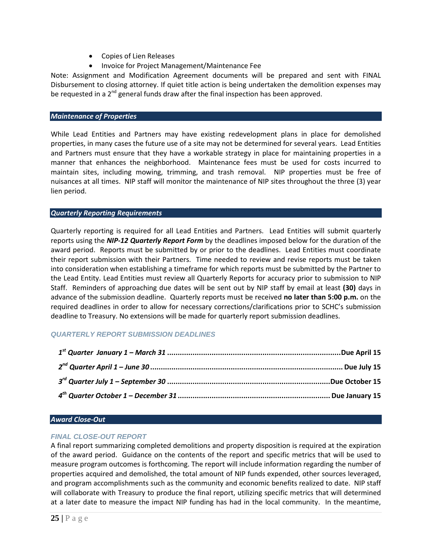- Copies of Lien Releases
- Invoice for Project Management/Maintenance Fee

Note: Assignment and Modification Agreement documents will be prepared and sent with FINAL Disbursement to closing attorney. If quiet title action is being undertaken the demolition expenses may be requested in a  $2<sup>nd</sup>$  general funds draw after the final inspection has been approved.

#### *Maintenance of Properties*

While Lead Entities and Partners may have existing redevelopment plans in place for demolished properties, in many cases the future use of a site may not be determined for several years. Lead Entities and Partners must ensure that they have a workable strategy in place for maintaining properties in a manner that enhances the neighborhood. Maintenance fees must be used for costs incurred to maintain sites, including mowing, trimming, and trash removal. NIP properties must be free of nuisances at all times. NIP staff will monitor the maintenance of NIP sites throughout the three (3) year lien period.

### *Quarterly Reporting Requirements*

Quarterly reporting is required for all Lead Entities and Partners. Lead Entities will submit quarterly reports using the *NIP-12 Quarterly Report Form* by the deadlines imposed below for the duration of the award period. Reports must be submitted by or prior to the deadlines. Lead Entities must coordinate their report submission with their Partners. Time needed to review and revise reports must be taken into consideration when establishing a timeframe for which reports must be submitted by the Partner to the Lead Entity. Lead Entities must review all Quarterly Reports for accuracy prior to submission to NIP Staff. Reminders of approaching due dates will be sent out by NIP staff by email at least **(30)** days in advance of the submission deadline. Quarterly reports must be received **no later than 5:00 p.m.** on the required deadlines in order to allow for necessary corrections/clarifications prior to SCHC's submission deadline to Treasury. No extensions will be made for quarterly report submission deadlines.

### *QUARTERLY REPORT SUBMISSION DEADLINES*

#### *Award Close-Out*

### *FINAL CLOSE-OUT REPORT*

A final report summarizing completed demolitions and property disposition is required at the expiration of the award period. Guidance on the contents of the report and specific metrics that will be used to measure program outcomes is forthcoming. The report will include information regarding the number of properties acquired and demolished, the total amount of NIP funds expended, other sources leveraged, and program accomplishments such as the community and economic benefits realized to date. NIP staff will collaborate with Treasury to produce the final report, utilizing specific metrics that will determined at a later date to measure the impact NIP funding has had in the local community. In the meantime,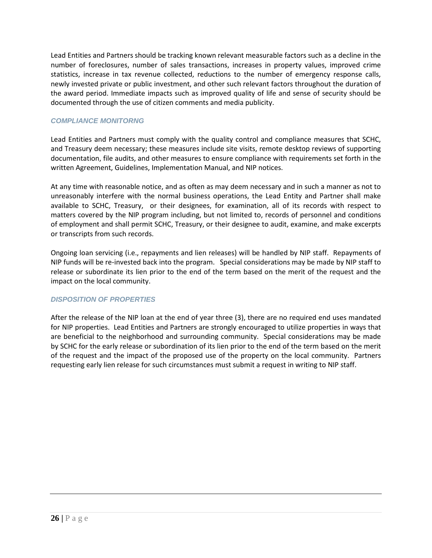Lead Entities and Partners should be tracking known relevant measurable factors such as a decline in the number of foreclosures, number of sales transactions, increases in property values, improved crime statistics, increase in tax revenue collected, reductions to the number of emergency response calls, newly invested private or public investment, and other such relevant factors throughout the duration of the award period. Immediate impacts such as improved quality of life and sense of security should be documented through the use of citizen comments and media publicity.

### *COMPLIANCE MONITORNG*

Lead Entities and Partners must comply with the quality control and compliance measures that SCHC, and Treasury deem necessary; these measures include site visits, remote desktop reviews of supporting documentation, file audits, and other measures to ensure compliance with requirements set forth in the written Agreement, Guidelines, Implementation Manual, and NIP notices.

At any time with reasonable notice, and as often as may deem necessary and in such a manner as not to unreasonably interfere with the normal business operations, the Lead Entity and Partner shall make available to SCHC, Treasury, or their designees, for examination, all of its records with respect to matters covered by the NIP program including, but not limited to, records of personnel and conditions of employment and shall permit SCHC, Treasury, or their designee to audit, examine, and make excerpts or transcripts from such records.

Ongoing loan servicing (i.e., repayments and lien releases) will be handled by NIP staff. Repayments of NIP funds will be re-invested back into the program. Special considerations may be made by NIP staff to release or subordinate its lien prior to the end of the term based on the merit of the request and the impact on the local community.

### *DISPOSITION OF PROPERTIES*

After the release of the NIP loan at the end of year three (3), there are no required end uses mandated for NIP properties. Lead Entities and Partners are strongly encouraged to utilize properties in ways that are beneficial to the neighborhood and surrounding community. Special considerations may be made by SCHC for the early release or subordination of its lien prior to the end of the term based on the merit of the request and the impact of the proposed use of the property on the local community. Partners requesting early lien release for such circumstances must submit a request in writing to NIP staff.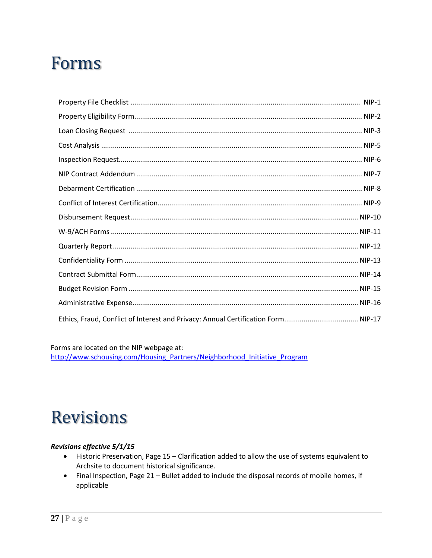# **Forms**

Forms are located on the NIP webpage at: http://www.schousing.com/Housing Partners/Neighborhood Initiative Program

# **Revisions**

# Revisions effective 5/1/15

- Historic Preservation, Page 15 Clarification added to allow the use of systems equivalent to Archsite to document historical significance.
- Final Inspection, Page 21 Bullet added to include the disposal records of mobile homes, if  $\bullet$ applicable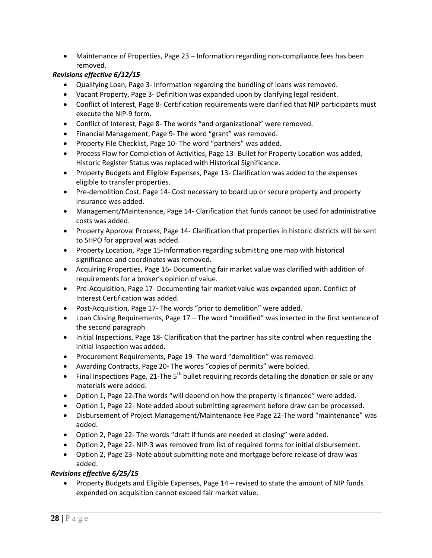• Maintenance of Properties, Page 23 – Information regarding non-compliance fees has been removed.

# *Revisions effective 6/12/15*

- Qualifying Loan, Page 3- Information regarding the bundling of loans was removed.
- Vacant Property, Page 3- Definition was expanded upon by clarifying legal resident.
- Conflict of Interest, Page 8- Certification requirements were clarified that NIP participants must execute the NIP-9 form.
- Conflict of Interest, Page 8- The words "and organizational" were removed.
- Financial Management, Page 9- The word "grant" was removed.
- Property File Checklist, Page 10- The word "partners" was added.
- Process Flow for Completion of Activities, Page 13- Bullet for Property Location was added, Historic Register Status was replaced with Historical Significance.
- Property Budgets and Eligible Expenses, Page 13- Clarification was added to the expenses eligible to transfer properties.
- Pre-demolition Cost, Page 14- Cost necessary to board up or secure property and property insurance was added.
- Management/Maintenance, Page 14- Clarification that funds cannot be used for administrative costs was added.
- Property Approval Process, Page 14- Clarification that properties in historic districts will be sent to SHPO for approval was added.
- Property Location, Page 15-Information regarding submitting one map with historical significance and coordinates was removed.
- Acquiring Properties, Page 16- Documenting fair market value was clarified with addition of requirements for a broker's opinion of value.
- Pre-Acquisition, Page 17- Documenting fair market value was expanded upon. Conflict of Interest Certification was added.
- Post-Acquisition, Page 17- The words "prior to demolition" were added.
- Loan Closing Requirements, Page 17 The word "modified" was inserted in the first sentence of the second paragraph
- Initial Inspections, Page 18- Clarification that the partner has site control when requesting the initial inspection was added.
- Procurement Requirements, Page 19- The word "demolition" was removed.
- Awarding Contracts, Page 20- The words "copies of permits" were bolded.
- Final Inspections Page, 21-The  $5<sup>th</sup>$  bullet requiring records detailing the donation or sale or any materials were added.
- Option 1, Page 22-The words "will depend on how the property is financed" were added.
- Option 1, Page 22- Note added about submitting agreement before draw can be processed.
- Disbursement of Project Management/Maintenance Fee Page 22-The word "maintenance" was added.
- Option 2, Page 22- The words "draft if funds are needed at closing" were added.
- Option 2, Page 22- NIP-3 was removed from list of required forms for initial disbursement.
- Option 2, Page 23- Note about submitting note and mortgage before release of draw was added.

# *Revisions effective 6/25/15*

• Property Budgets and Eligible Expenses, Page 14 – revised to state the amount of NIP funds expended on acquisition cannot exceed fair market value.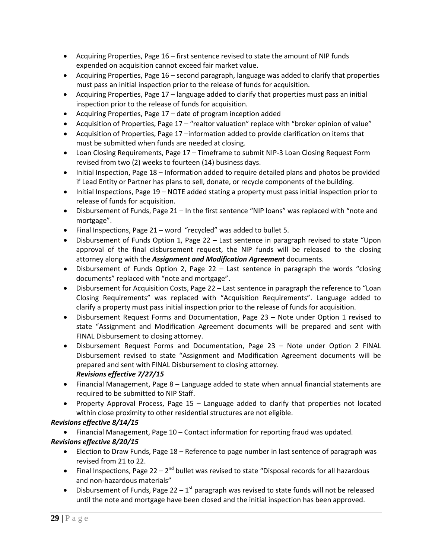- Acquiring Properties, Page 16 first sentence revised to state the amount of NIP funds expended on acquisition cannot exceed fair market value.
- Acquiring Properties, Page 16 second paragraph, language was added to clarify that properties must pass an initial inspection prior to the release of funds for acquisition.
- Acquiring Properties, Page 17 language added to clarify that properties must pass an initial inspection prior to the release of funds for acquisition.
- Acquiring Properties, Page 17 date of program inception added
- Acquisition of Properties, Page 17 "realtor valuation" replace with "broker opinion of value"
- Acquisition of Properties, Page 17 –information added to provide clarification on items that must be submitted when funds are needed at closing.
- Loan Closing Requirements, Page 17 Timeframe to submit NIP-3 Loan Closing Request Form revised from two (2) weeks to fourteen (14) business days.
- Initial Inspection, Page 18 Information added to require detailed plans and photos be provided if Lead Entity or Partner has plans to sell, donate, or recycle components of the building.
- Initial Inspections, Page 19 NOTE added stating a property must pass initial inspection prior to release of funds for acquisition.
- Disbursement of Funds, Page 21 In the first sentence "NIP loans" was replaced with "note and mortgage".
- Final Inspections, Page 21 word "recycled" was added to bullet 5.
- Disbursement of Funds Option 1, Page 22 Last sentence in paragraph revised to state "Upon approval of the final disbursement request, the NIP funds will be released to the closing attorney along with the *Assignment and Modification Agreement* documents.
- Disbursement of Funds Option 2, Page 22 Last sentence in paragraph the words "closing documents" replaced with "note and mortgage".
- Disbursement for Acquisition Costs, Page 22 Last sentence in paragraph the reference to "Loan Closing Requirements" was replaced with "Acquisition Requirements". Language added to clarify a property must pass initial inspection prior to the release of funds for acquisition.
- Disbursement Request Forms and Documentation, Page 23 Note under Option 1 revised to state "Assignment and Modification Agreement documents will be prepared and sent with FINAL Disbursement to closing attorney.
- Disbursement Request Forms and Documentation, Page 23 Note under Option 2 FINAL Disbursement revised to state "Assignment and Modification Agreement documents will be prepared and sent with FINAL Disbursement to closing attorney. *Revisions effective 7/27/15*
- Financial Management, Page 8 Language added to state when annual financial statements are required to be submitted to NIP Staff.
- Property Approval Process, Page 15 Language added to clarify that properties not located within close proximity to other residential structures are not eligible.

# *Revisions effective 8/14/15*

• Financial Management, Page 10 – Contact information for reporting fraud was updated.

# *Revisions effective 8/20/15*

- Election to Draw Funds, Page 18 Reference to page number in last sentence of paragraph was revised from 21 to 22.
- Final Inspections, Page 22  $2^{nd}$  bullet was revised to state "Disposal records for all hazardous and non-hazardous materials"
- Disbursement of Funds, Page  $22 1$ <sup>st</sup> paragraph was revised to state funds will not be released until the note and mortgage have been closed and the initial inspection has been approved.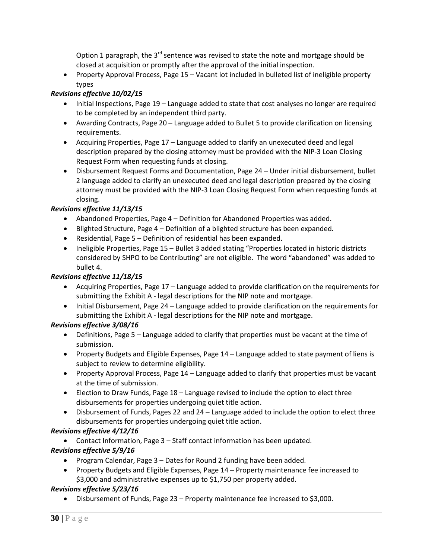Option 1 paragraph, the  $3^{rd}$  sentence was revised to state the note and mortgage should be closed at acquisition or promptly after the approval of the initial inspection.

• Property Approval Process, Page 15 – Vacant lot included in bulleted list of ineligible property types

# *Revisions effective 10/02/15*

- Initial Inspections, Page 19 Language added to state that cost analyses no longer are required to be completed by an independent third party.
- Awarding Contracts, Page 20 Language added to Bullet 5 to provide clarification on licensing requirements.
- Acquiring Properties, Page 17 Language added to clarify an unexecuted deed and legal description prepared by the closing attorney must be provided with the NIP-3 Loan Closing Request Form when requesting funds at closing.
- Disbursement Request Forms and Documentation, Page 24 Under initial disbursement, bullet 2 language added to clarify an unexecuted deed and legal description prepared by the closing attorney must be provided with the NIP-3 Loan Closing Request Form when requesting funds at closing.

# *Revisions effective 11/13/15*

- Abandoned Properties, Page 4 Definition for Abandoned Properties was added.
- Blighted Structure, Page 4 Definition of a blighted structure has been expanded.
- Residential, Page 5 Definition of residential has been expanded.
- Ineligible Properties, Page 15 Bullet 3 added stating "Properties located in historic districts considered by SHPO to be Contributing" are not eligible. The word "abandoned" was added to bullet 4.

# *Revisions effective 11/18/15*

- Acquiring Properties, Page 17 Language added to provide clarification on the requirements for submitting the Exhibit A - legal descriptions for the NIP note and mortgage.
- Initial Disbursement, Page 24 Language added to provide clarification on the requirements for submitting the Exhibit A - legal descriptions for the NIP note and mortgage.

# *Revisions effective 3/08/16*

- Definitions, Page 5 Language added to clarify that properties must be vacant at the time of submission.
- Property Budgets and Eligible Expenses, Page 14 Language added to state payment of liens is subject to review to determine eligibility.
- Property Approval Process, Page 14 Language added to clarify that properties must be vacant at the time of submission.
- Election to Draw Funds, Page 18 Language revised to include the option to elect three disbursements for properties undergoing quiet title action.
- Disbursement of Funds, Pages 22 and 24 Language added to include the option to elect three disbursements for properties undergoing quiet title action.

# *Revisions effective 4/12/16*

• Contact Information, Page 3 – Staff contact information has been updated.

# *Revisions effective 5/9/16*

- Program Calendar, Page 3 Dates for Round 2 funding have been added.
- Property Budgets and Eligible Expenses, Page 14 Property maintenance fee increased to \$3,000 and administrative expenses up to \$1,750 per property added.

# *Revisions effective 5/23/16*

• Disbursement of Funds, Page 23 – Property maintenance fee increased to \$3,000.